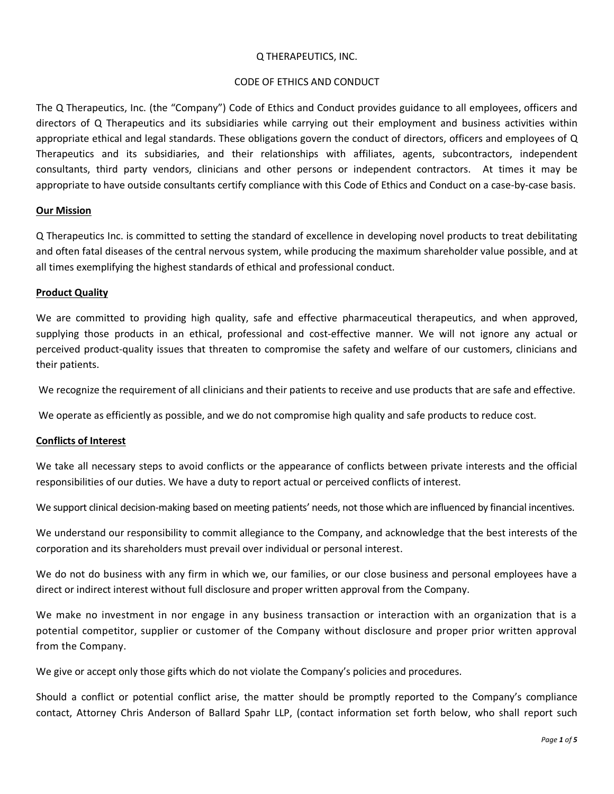## Q THERAPEUTICS, INC.

## CODE OF ETHICS AND CONDUCT

The Q Therapeutics, Inc. (the "Company") Code of Ethics and Conduct provides guidance to all employees, officers and directors of Q Therapeutics and its subsidiaries while carrying out their employment and business activities within appropriate ethical and legal standards. These obligations govern the conduct of directors, officers and employees of Q Therapeutics and its subsidiaries, and their relationships with affiliates, agents, subcontractors, independent consultants, third party vendors, clinicians and other persons or independent contractors. At times it may be appropriate to have outside consultants certify compliance with this Code of Ethics and Conduct on a case-by-case basis.

## **Our Mission**

Q Therapeutics Inc. is committed to setting the standard of excellence in developing novel products to treat debilitating and often fatal diseases of the central nervous system, while producing the maximum shareholder value possible, and at all times exemplifying the highest standards of ethical and professional conduct.

## **Product Quality**

We are committed to providing high quality, safe and effective pharmaceutical therapeutics, and when approved, supplying those products in an ethical, professional and cost-effective manner. We will not ignore any actual or perceived product-quality issues that threaten to compromise the safety and welfare of our customers, clinicians and their patients.

We recognize the requirement of all clinicians and their patients to receive and use products that are safe and effective.

We operate as efficiently as possible, and we do not compromise high quality and safe products to reduce cost.

# **Conflicts of Interest**

We take all necessary steps to avoid conflicts or the appearance of conflicts between private interests and the official responsibilities of our duties. We have a duty to report actual or perceived conflicts of interest.

We support clinical decision-making based on meeting patients' needs, not those which are influenced by financial incentives.

We understand our responsibility to commit allegiance to the Company, and acknowledge that the best interests of the corporation and its shareholders must prevail over individual or personal interest.

We do not do business with any firm in which we, our families, or our close business and personal employees have a direct or indirect interest without full disclosure and proper written approval from the Company.

We make no investment in nor engage in any business transaction or interaction with an organization that is a potential competitor, supplier or customer of the Company without disclosure and proper prior written approval from the Company.

We give or accept only those gifts which do not violate the Company's policies and procedures.

Should a conflict or potential conflict arise, the matter should be promptly reported to the Company's compliance contact, Attorney Chris Anderson of Ballard Spahr LLP, (contact information set forth below, who shall report such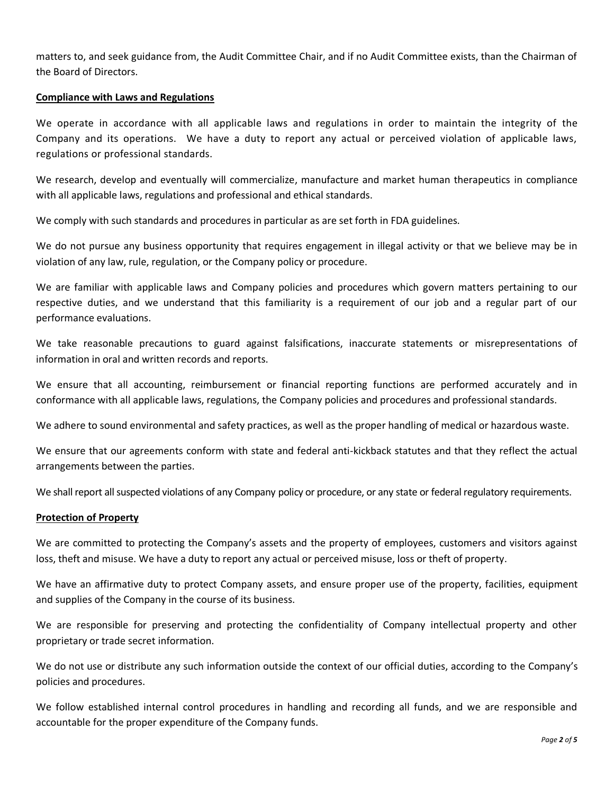matters to, and seek guidance from, the Audit Committee Chair, and if no Audit Committee exists, than the Chairman of the Board of Directors.

## **Compliance with Laws and Regulations**

We operate in accordance with all applicable laws and regulations in order to maintain the integrity of the Company and its operations. We have a duty to report any actual or perceived violation of applicable laws, regulations or professional standards.

We research, develop and eventually will commercialize, manufacture and market human therapeutics in compliance with all applicable laws, regulations and professional and ethical standards.

We comply with such standards and procedures in particular as are set forth in FDA guidelines.

We do not pursue any business opportunity that requires engagement in illegal activity or that we believe may be in violation of any law, rule, regulation, or the Company policy or procedure.

We are familiar with applicable laws and Company policies and procedures which govern matters pertaining to our respective duties, and we understand that this familiarity is a requirement of our job and a regular part of our performance evaluations.

We take reasonable precautions to guard against falsifications, inaccurate statements or misrepresentations of information in oral and written records and reports.

We ensure that all accounting, reimbursement or financial reporting functions are performed accurately and in conformance with all applicable laws, regulations, the Company policies and procedures and professional standards.

We adhere to sound environmental and safety practices, as well as the proper handling of medical or hazardous waste.

We ensure that our agreements conform with state and federal anti-kickback statutes and that they reflect the actual arrangements between the parties.

We shall report all suspected violations of any Company policy or procedure, or any state or federal regulatory requirements.

### **Protection of Property**

We are committed to protecting the Company's assets and the property of employees, customers and visitors against loss, theft and misuse. We have a duty to report any actual or perceived misuse, loss or theft of property.

We have an affirmative duty to protect Company assets, and ensure proper use of the property, facilities, equipment and supplies of the Company in the course of its business.

We are responsible for preserving and protecting the confidentiality of Company intellectual property and other proprietary or trade secret information.

We do not use or distribute any such information outside the context of our official duties, according to the Company's policies and procedures.

We follow established internal control procedures in handling and recording all funds, and we are responsible and accountable for the proper expenditure of the Company funds.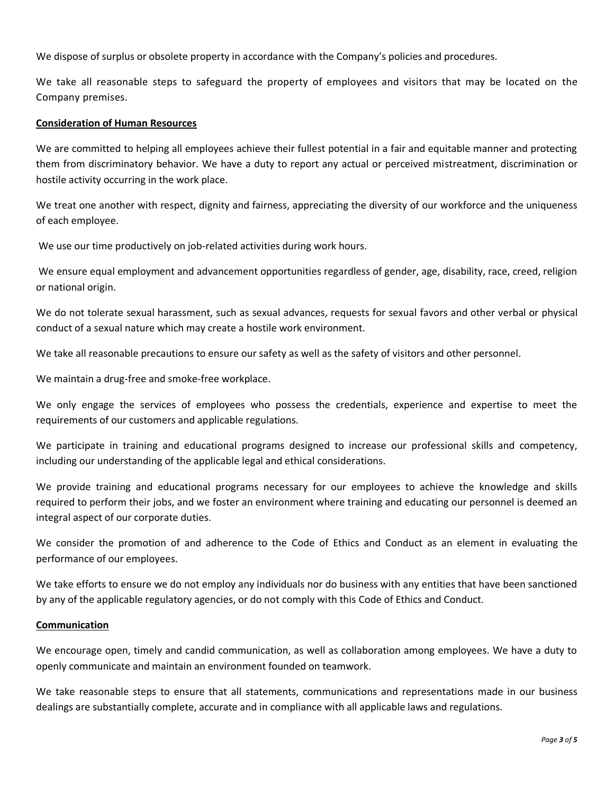We dispose of surplus or obsolete property in accordance with the Company's policies and procedures.

We take all reasonable steps to safeguard the property of employees and visitors that may be located on the Company premises.

### **Consideration of Human Resources**

We are committed to helping all employees achieve their fullest potential in a fair and equitable manner and protecting them from discriminatory behavior. We have a duty to report any actual or perceived mistreatment, discrimination or hostile activity occurring in the work place.

We treat one another with respect, dignity and fairness, appreciating the diversity of our workforce and the uniqueness of each employee.

We use our time productively on job-related activities during work hours.

We ensure equal employment and advancement opportunities regardless of gender, age, disability, race, creed, religion or national origin.

We do not tolerate sexual harassment, such as sexual advances, requests for sexual favors and other verbal or physical conduct of a sexual nature which may create a hostile work environment.

We take all reasonable precautions to ensure our safety as well as the safety of visitors and other personnel.

We maintain a drug-free and smoke-free workplace.

We only engage the services of employees who possess the credentials, experience and expertise to meet the requirements of our customers and applicable regulations.

We participate in training and educational programs designed to increase our professional skills and competency, including our understanding of the applicable legal and ethical considerations.

We provide training and educational programs necessary for our employees to achieve the knowledge and skills required to perform their jobs, and we foster an environment where training and educating our personnel is deemed an integral aspect of our corporate duties.

We consider the promotion of and adherence to the Code of Ethics and Conduct as an element in evaluating the performance of our employees.

We take efforts to ensure we do not employ any individuals nor do business with any entities that have been sanctioned by any of the applicable regulatory agencies, or do not comply with this Code of Ethics and Conduct.

### **Communication**

We encourage open, timely and candid communication, as well as collaboration among employees. We have a duty to openly communicate and maintain an environment founded on teamwork.

We take reasonable steps to ensure that all statements, communications and representations made in our business dealings are substantially complete, accurate and in compliance with all applicable laws and regulations.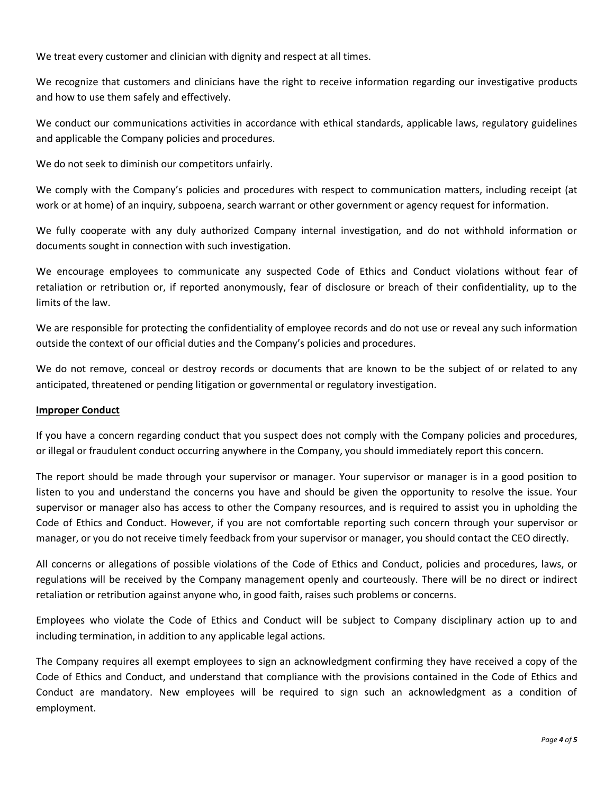We treat every customer and clinician with dignity and respect at all times.

We recognize that customers and clinicians have the right to receive information regarding our investigative products and how to use them safely and effectively.

We conduct our communications activities in accordance with ethical standards, applicable laws, regulatory guidelines and applicable the Company policies and procedures.

We do not seek to diminish our competitors unfairly.

We comply with the Company's policies and procedures with respect to communication matters, including receipt (at work or at home) of an inquiry, subpoena, search warrant or other government or agency request for information.

We fully cooperate with any duly authorized Company internal investigation, and do not withhold information or documents sought in connection with such investigation.

We encourage employees to communicate any suspected Code of Ethics and Conduct violations without fear of retaliation or retribution or, if reported anonymously, fear of disclosure or breach of their confidentiality, up to the limits of the law.

We are responsible for protecting the confidentiality of employee records and do not use or reveal any such information outside the context of our official duties and the Company's policies and procedures.

We do not remove, conceal or destroy records or documents that are known to be the subject of or related to any anticipated, threatened or pending litigation or governmental or regulatory investigation.

# **Improper Conduct**

If you have a concern regarding conduct that you suspect does not comply with the Company policies and procedures, or illegal or fraudulent conduct occurring anywhere in the Company, you should immediately report this concern.

The report should be made through your supervisor or manager. Your supervisor or manager is in a good position to listen to you and understand the concerns you have and should be given the opportunity to resolve the issue. Your supervisor or manager also has access to other the Company resources, and is required to assist you in upholding the Code of Ethics and Conduct. However, if you are not comfortable reporting such concern through your supervisor or manager, or you do not receive timely feedback from your supervisor or manager, you should contact the CEO directly.

All concerns or allegations of possible violations of the Code of Ethics and Conduct, policies and procedures, laws, or regulations will be received by the Company management openly and courteously. There will be no direct or indirect retaliation or retribution against anyone who, in good faith, raises such problems or concerns.

Employees who violate the Code of Ethics and Conduct will be subject to Company disciplinary action up to and including termination, in addition to any applicable legal actions.

The Company requires all exempt employees to sign an acknowledgment confirming they have received a copy of the Code of Ethics and Conduct, and understand that compliance with the provisions contained in the Code of Ethics and Conduct are mandatory. New employees will be required to sign such an acknowledgment as a condition of employment.